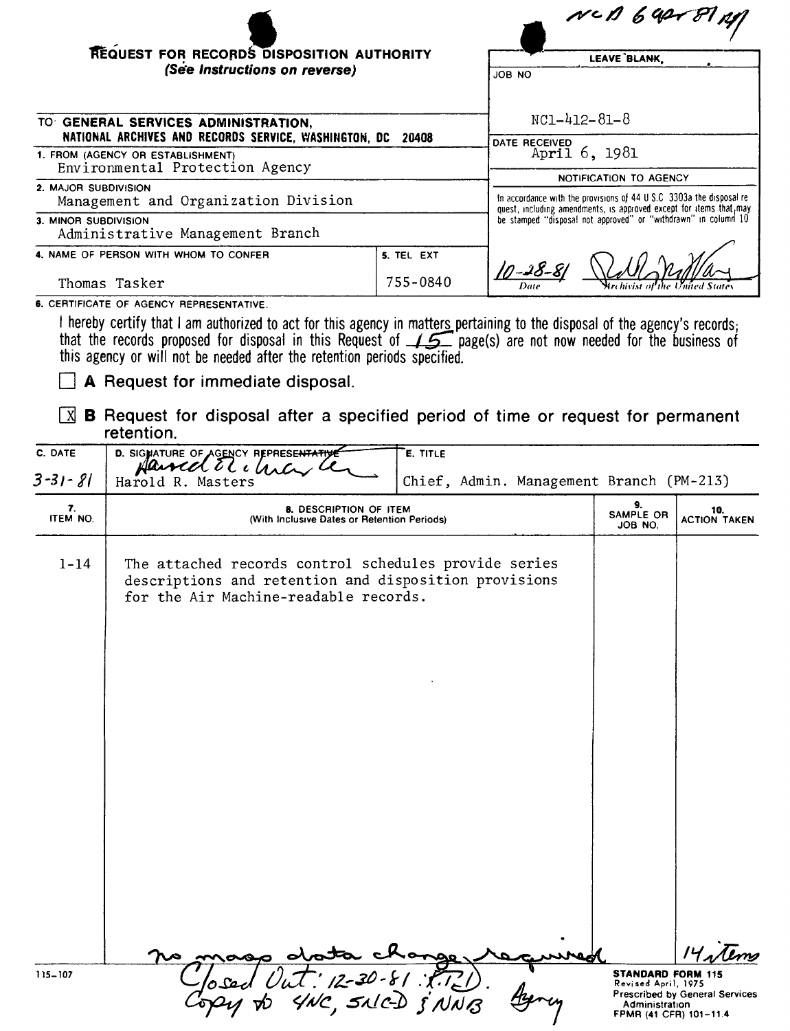|                                                                                                    |                                                                | $N$ $c$ $D$ $6$ $q$ $27$ $p$ $q$                                                                                                                                              |
|----------------------------------------------------------------------------------------------------|----------------------------------------------------------------|-------------------------------------------------------------------------------------------------------------------------------------------------------------------------------|
| REQUEST FOR RECORDS DISPOSITION AUTHORITY                                                          |                                                                | LEAVE BLANK                                                                                                                                                                   |
| (See Instructions on reverse)                                                                      |                                                                | JOB NO                                                                                                                                                                        |
| TO GENERAL SERVICES ADMINISTRATION,<br>NATIONAL ARCHIVES AND RECORDS SERVICE, WASHINGTON, DC 20408 | $NC1 - 412 - 81 - 8$<br>DATE RECEIVED                          |                                                                                                                                                                               |
| 1. FROM (AGENCY OR ESTABLISHMENT)<br>Environmental Protection Agency                               |                                                                | April 6, 1981                                                                                                                                                                 |
| 2. MAJOR SUBDIVISION<br>Management and Organization Division                                       |                                                                | <b>NOTIFICATION TO AGENCY</b><br>In accordance with the provisions of 44 U.S.C. 3303a the disposal re-<br>quest, including amendments, is approved except for items that, may |
| 3. MINOR SUBDIVISION<br>Administrative Management Branch                                           | be stamped "disposal not approved" or "withdrawn" in column 10 |                                                                                                                                                                               |
| 4. NAME OF PERSON WITH WHOM TO CONFER                                                              | 5. TEL EXT                                                     |                                                                                                                                                                               |
| Thomas Tasker                                                                                      | 755-0840                                                       | Mrchivist of                                                                                                                                                                  |

6. CERTIFICATE OF AGENCY REPRESENTATIVE.

I hereby certify that I am authorized to act for this agency in matters pertaining to the disposal of the agency's records;<br>that the records proposed for disposal in this Request of  $\sqrt{5}$  page(s) are not now needed for

 $\Box$  A Request for immediate disposal.

 $\boxed{X}$  **B** Request for disposal after a specified period of time or request for permanent retention.

| C. DATE        | D. SIGNATURE OF AGENCY REPRESENTATIVE<br>Harred El chia                                                                                                 | E. TITLE                                 |                                                                                             |                                                     |
|----------------|---------------------------------------------------------------------------------------------------------------------------------------------------------|------------------------------------------|---------------------------------------------------------------------------------------------|-----------------------------------------------------|
| $3 - 31 - 81$  | Harold R. Masters                                                                                                                                       | Chief, Admin. Management Branch (PM-213) |                                                                                             |                                                     |
| 7.<br>ITEM NO. | 8. DESCRIPTION OF ITEM<br>(With Inclusive Dates or Retention Periods)                                                                                   |                                          | 9.<br>SAMPLE OR<br>JOB NO.                                                                  | 10.<br><b>ACTION TAKEN</b>                          |
| $1 - 14$       | The attached records control schedules provide series<br>descriptions and retention and disposition provisions<br>for the Air Machine-readable records. |                                          |                                                                                             |                                                     |
|                |                                                                                                                                                         |                                          |                                                                                             |                                                     |
| 115-107        | t : 12-30-81 : F.T.Z.)<br>4NC, SALC-D & NNB                                                                                                             |                                          | <b>STANDARD FORM 115</b><br>Revised April, 1975<br>Administration<br>FPMR (41 CFR) 101-11.4 | $14$ stems<br><b>Prescribed by General Services</b> |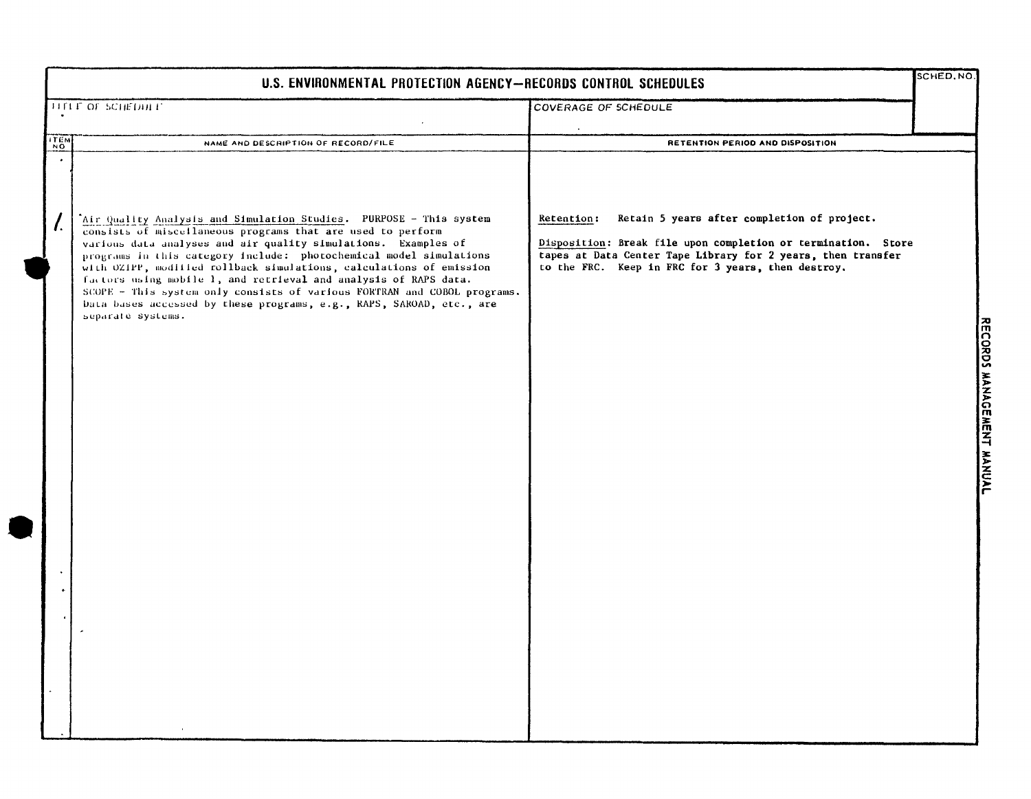|                                       | SCHED, NO.<br>U.S. ENVIRONMENTAL PROTECTION AGENCY-RECORDS CONTROL SCHEDULES                                                                                                                                                                                                                                                                                                                                                                                                                                                                                                                  |                                                                                                                                                                                                                                                  |  |
|---------------------------------------|-----------------------------------------------------------------------------------------------------------------------------------------------------------------------------------------------------------------------------------------------------------------------------------------------------------------------------------------------------------------------------------------------------------------------------------------------------------------------------------------------------------------------------------------------------------------------------------------------|--------------------------------------------------------------------------------------------------------------------------------------------------------------------------------------------------------------------------------------------------|--|
|                                       | TITLE OF SCHEDIA L'                                                                                                                                                                                                                                                                                                                                                                                                                                                                                                                                                                           | COVERAGE OF SCHEDULE                                                                                                                                                                                                                             |  |
| <b>ITEM</b>                           | NAME AND DESCRIPTION OF RECORD/FILE                                                                                                                                                                                                                                                                                                                                                                                                                                                                                                                                                           | RETENTION PERIOD AND DISPOSITION                                                                                                                                                                                                                 |  |
| $\bullet$<br>$\overline{\mathcal{L}}$ | Air Quality Analysis and Simulation Studies. PURPOSE - This system<br>consists of miscellaneous programs that are used to perform<br>various data analyses and air quality simulations. Examples of<br>programs in this category include: photochemical model simulations<br>with OZIPP, modified rollback simulations, calculations of emission<br>factors using mobile 1, and retrieval and analysis of RAPS data.<br>SCOPE - This system only consists of various FORTRAN and COBOL programs.<br>Data bases accessed by these programs, e.g., RAPS, SAROAD, etc., are<br>separate systems. | Retain 5 years after completion of project.<br>Retention:<br>Disposition: Break file upon completion or termination. Store<br>tapes at Data Center Tape Library for 2 years, then transfer<br>to the FRC. Keep in FRC for 3 years, then destroy. |  |

**Contractor**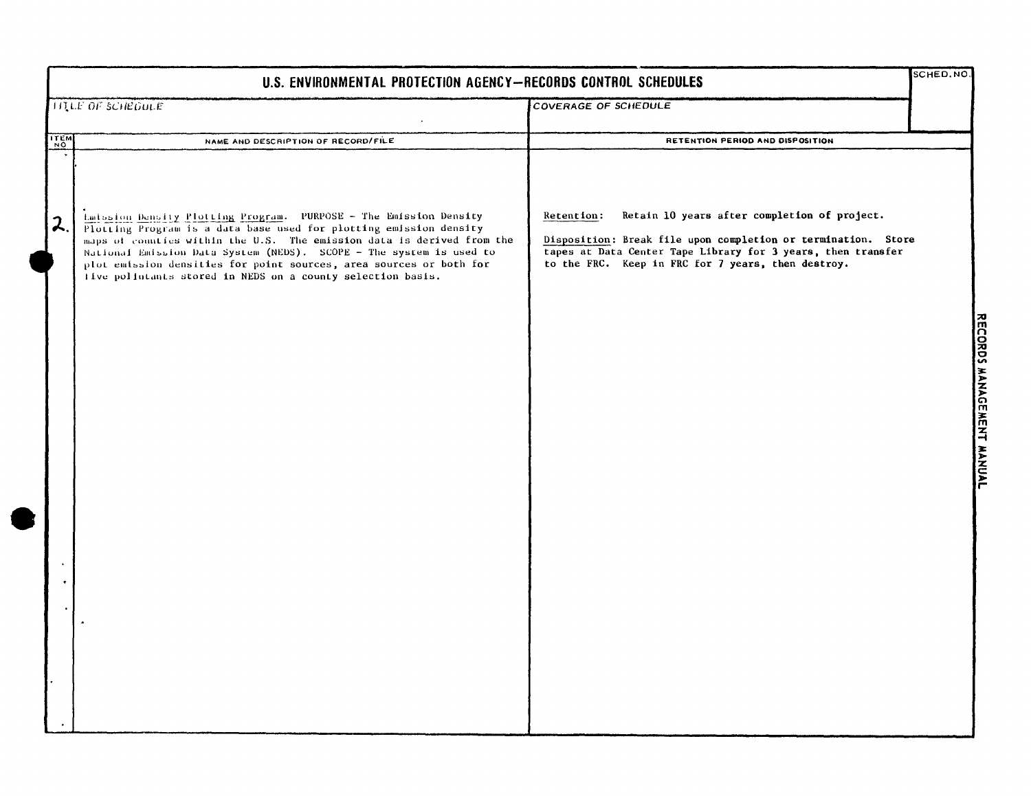| SCHED.NO<br>U.S. ENVIRONMENTAL PROTECTION AGENCY-RECORDS CONTROL SCHEDULES |                                                                                                                                                                                                                                                                                                                                                                                                                                |                                                                                                                                                                                                                                                   |                           |  |
|----------------------------------------------------------------------------|--------------------------------------------------------------------------------------------------------------------------------------------------------------------------------------------------------------------------------------------------------------------------------------------------------------------------------------------------------------------------------------------------------------------------------|---------------------------------------------------------------------------------------------------------------------------------------------------------------------------------------------------------------------------------------------------|---------------------------|--|
|                                                                            | <b>TITLE OF SCHEDULE</b>                                                                                                                                                                                                                                                                                                                                                                                                       | <b>COVERAGE OF SCHEDULE</b>                                                                                                                                                                                                                       |                           |  |
| ITEM                                                                       | NAME AND DESCRIPTION OF RECORD/FILE                                                                                                                                                                                                                                                                                                                                                                                            | RETENTION PERIOD AND DISPOSITION                                                                                                                                                                                                                  |                           |  |
| $\lambda$                                                                  | Latssion Density Plotting Program. PURPOSE - The Emission Density<br>Plotting Program is a data base used for plotting emission density<br>maps of counties within the U.S. The emission data is derived from the<br>National Emission Data System (NEDS). SCOPE - The system is used to<br>plot emission densities for point sources, area sources or both for<br>five polintants stored in NEDS on a county selection basis. | Retain 10 years after completion of project.<br>Retention:<br>Disposition: Break file upon completion or termination. Store<br>tapes at Data Center Tape Library for 3 years, then transfer<br>to the FRC. Keep in FRC for 7 years, then destroy. |                           |  |
|                                                                            |                                                                                                                                                                                                                                                                                                                                                                                                                                |                                                                                                                                                                                                                                                   | RECORDS MANAGEMENT MANUAL |  |
|                                                                            |                                                                                                                                                                                                                                                                                                                                                                                                                                |                                                                                                                                                                                                                                                   |                           |  |
|                                                                            |                                                                                                                                                                                                                                                                                                                                                                                                                                |                                                                                                                                                                                                                                                   |                           |  |
|                                                                            |                                                                                                                                                                                                                                                                                                                                                                                                                                |                                                                                                                                                                                                                                                   |                           |  |
|                                                                            |                                                                                                                                                                                                                                                                                                                                                                                                                                |                                                                                                                                                                                                                                                   |                           |  |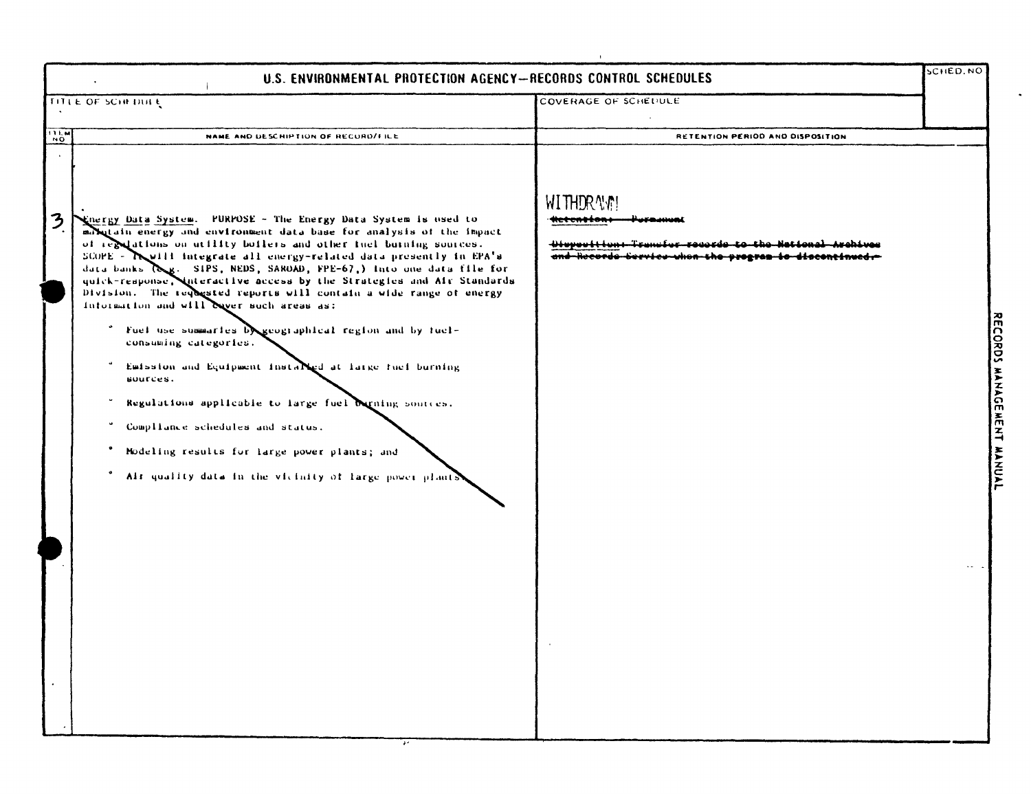| U.S. ENVIRONMENTAL PROTECTION AGENCY-RECORDS CONTROL SCHEDULES                                                         |                                                                                                                                                                                                                                                                                                                                                                                                                                                                                                                                                                                                                                                                                                                                                                                                     |                                                                                                                                                                | SCHED, NO |
|------------------------------------------------------------------------------------------------------------------------|-----------------------------------------------------------------------------------------------------------------------------------------------------------------------------------------------------------------------------------------------------------------------------------------------------------------------------------------------------------------------------------------------------------------------------------------------------------------------------------------------------------------------------------------------------------------------------------------------------------------------------------------------------------------------------------------------------------------------------------------------------------------------------------------------------|----------------------------------------------------------------------------------------------------------------------------------------------------------------|-----------|
| TITLE OF SCHEDULE                                                                                                      |                                                                                                                                                                                                                                                                                                                                                                                                                                                                                                                                                                                                                                                                                                                                                                                                     | COVERAGE OF SCHEDULE                                                                                                                                           |           |
| $\frac{1}{N}$                                                                                                          | NAME AND DESCRIPTION OF RECORD/FILE                                                                                                                                                                                                                                                                                                                                                                                                                                                                                                                                                                                                                                                                                                                                                                 | RETENTION PERIOD AND DISPOSITION                                                                                                                               |           |
| 3<br>Information and will ever such areas as:<br>consuming categories.<br>sources.<br>Compliance schedules and status. | Energy Data System. PURPOSE - The Energy Data System is used to<br>marketain energy and environment data base for analysis of the impact<br>of regulations on utility boilers and other fuel buining sources.<br>SCOPE - Twill integrate all energy-related data presently in EPA's<br>data banks (Sg. SIPS, NEDS, SAROAD, FPE-67,) Into one data file for<br>quick-response, unteractive access by the Strategies and Air Standards<br>Division. The requested reports will contain a wide range of energy<br>* Fuel use summaries beloographical region and by fuel-<br>Emission and Equipment installed at large fuel burning<br>Regulations applicable to large fuel burning sources.<br>Modeling results for large power plants; and<br>Als quality data in the vicinity of large power plants | <b>WITHDRAW!</b><br><del>:ketentton</del> +<br>Hivrooftian: Transfer reacrds to the National Archives<br>and Records Service when the program is discontinued. |           |

 $\overline{\cdot}$ 

n<br>E ግ<br>ニュ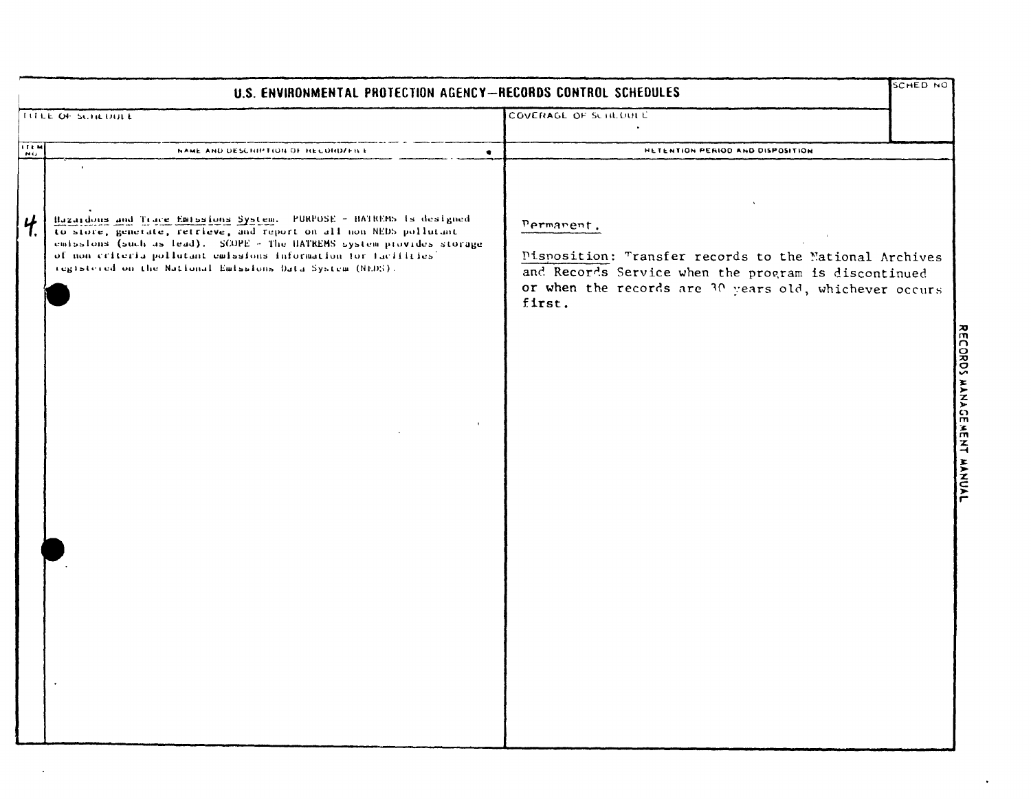| U.S. ENVIRONMENTAL PROTECTION AGENCY-RECORDS CONTROL SCHEDULES |                                                                                                                                                                                                                                                                                                                                                   |                                                                                                                                                                                                  | SCHED NO |
|----------------------------------------------------------------|---------------------------------------------------------------------------------------------------------------------------------------------------------------------------------------------------------------------------------------------------------------------------------------------------------------------------------------------------|--------------------------------------------------------------------------------------------------------------------------------------------------------------------------------------------------|----------|
|                                                                | TITLE OF SCHEDULE                                                                                                                                                                                                                                                                                                                                 | COVERAGE OF SCHLOULE                                                                                                                                                                             |          |
| <b>NU</b>                                                      | NAME AND DESCRIPTION OF RECORD/FILE<br>٠                                                                                                                                                                                                                                                                                                          | HETENTION PERIOD AND DISPOSITION                                                                                                                                                                 |          |
| <b>ITEM</b><br>4 <sub>1</sub>                                  | Hazardons and Trace Emissions System. PURPOSE - HATREMS is designed<br>to store, generate, retrieve, and report on all non NEDS pollutant<br>emissions (such as lead). SCOPE - The HATREMS system provides storage<br>of non criteria pollutant emissions information for facilities'<br>registered on the National Emissions Data System (NEDS). | Permanent.<br>Pisposition: Transfer records to the Mational Archives<br>and Records Service when the program is discontinued<br>or when the records are 30 years old, whichever occurs<br>first. |          |
|                                                                |                                                                                                                                                                                                                                                                                                                                                   |                                                                                                                                                                                                  |          |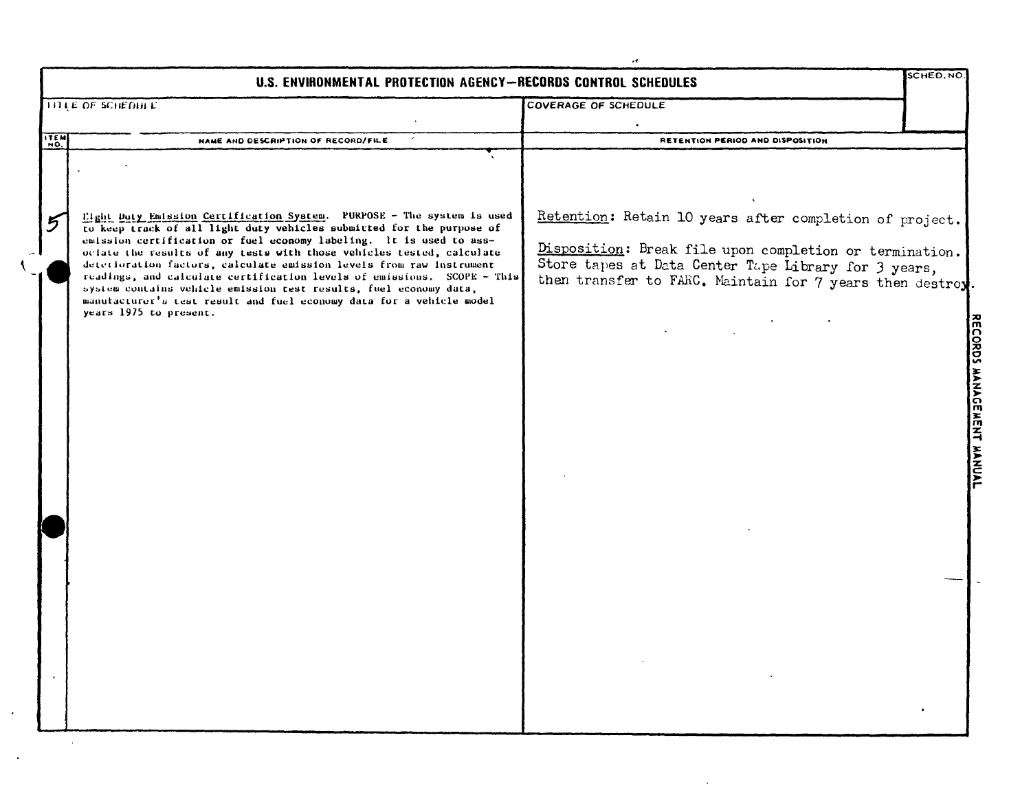| r4<br><b>SCHED.NO</b><br>U.S. ENVIRONMENTAL PROTECTION AGENCY-RECORDS CONTROL SCHEDULES |                                                                                                                                                                                                                                                                                                                                                                                                                                                                                                                                                                                                                           |                                                                                                                                                                                                                                         |  |  |
|-----------------------------------------------------------------------------------------|---------------------------------------------------------------------------------------------------------------------------------------------------------------------------------------------------------------------------------------------------------------------------------------------------------------------------------------------------------------------------------------------------------------------------------------------------------------------------------------------------------------------------------------------------------------------------------------------------------------------------|-----------------------------------------------------------------------------------------------------------------------------------------------------------------------------------------------------------------------------------------|--|--|
|                                                                                         | <b>TITLE OF SCHEDIA E</b>                                                                                                                                                                                                                                                                                                                                                                                                                                                                                                                                                                                                 | <b>COVERAGE OF SCHEDULE</b>                                                                                                                                                                                                             |  |  |
| ITEM                                                                                    | <b>NAME AND DESCRIPTION OF RECORD/FILE</b>                                                                                                                                                                                                                                                                                                                                                                                                                                                                                                                                                                                | RETENTION PERIOD AND DISPOSITION                                                                                                                                                                                                        |  |  |
| 5                                                                                       | Eight Duty Emission Certification System. PURPOSE - The system is used<br>to keep track of all light duty vehicles submitted for the purpose of<br>emission certification or fuel economy labeling. It is used to ass-<br>ociate the results of any tests with those vehicles tested, calculate<br>deterioration factors, calculate emission levels from raw instrument<br>readings, and calculate certification levels of emissions. SCOPE - This<br>system contains vehicle emission test results, fuel economy data,<br>manufacturer's test result and fuel economy data for a vehicle model<br>years 1975 to present. | Retention: Retain 10 years after completion of project.<br>Disposition: Break file upon completion or termination.<br>Store tapes at Data Center Tape Library for 3 years,<br>then transfer to FARC. Maintain for 7 years then destroy. |  |  |
|                                                                                         |                                                                                                                                                                                                                                                                                                                                                                                                                                                                                                                                                                                                                           |                                                                                                                                                                                                                                         |  |  |

 $\sim$ 

 $\sqrt{2}$ 

 $\cdot$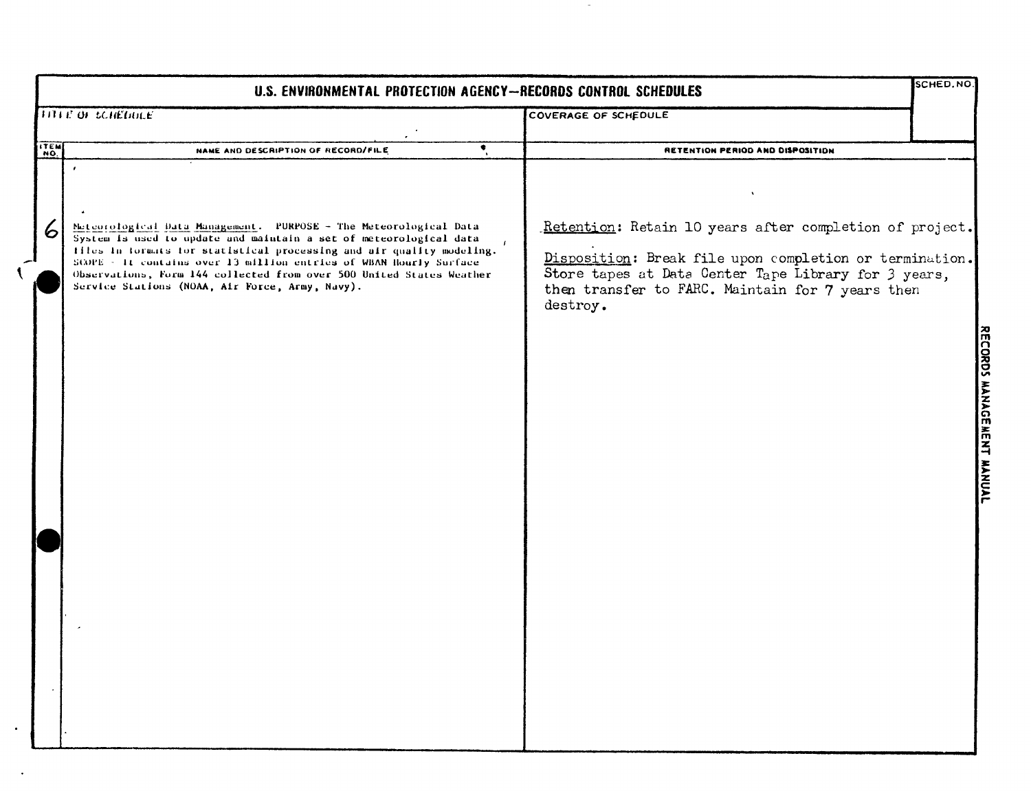| U.S. ENVIRONMENTAL PROTECTION AGENCY-RECORDS CONTROL SCHEDULES |                                                                                                                                                                                                                                                                                                                                                                                                                                 |                                                                                                                                                                                                                                            |                                               |  |
|----------------------------------------------------------------|---------------------------------------------------------------------------------------------------------------------------------------------------------------------------------------------------------------------------------------------------------------------------------------------------------------------------------------------------------------------------------------------------------------------------------|--------------------------------------------------------------------------------------------------------------------------------------------------------------------------------------------------------------------------------------------|-----------------------------------------------|--|
|                                                                | <b>TITLE OF SCHEDULE</b>                                                                                                                                                                                                                                                                                                                                                                                                        | <b>COVERAGE OF SCHEDULE</b>                                                                                                                                                                                                                |                                               |  |
| <b>ITEM</b>                                                    | ৼ<br>NAME AND DESCRIPTION OF RECORD/FILE                                                                                                                                                                                                                                                                                                                                                                                        | RETENTION PERIOD AND DISPOSITION                                                                                                                                                                                                           |                                               |  |
| 6                                                              | $\epsilon$<br>Nateorological Data Management. PURPOSE - The Meteorological Data<br>System is used to update and maintain a set of meteorological data<br>files in formats for statistical processing and air quality modeling.<br>SCOPE - It contains over 13 million entries of WBAN Hourly Surface<br>Observations, Form 144 collected from over 500 United States Weather<br>Service Stations (NOAA, Air Force, Army, Navy). | Retention: Retain 10 years after completion of project.<br>Disposition: Break file upon completion or termination.<br>Store tapes at Data Center Tape Library for 3 years,<br>then transfer to FARC. Maintain for 7 years then<br>destroy. | <b>MANAUE</b><br><b>MEN1</b><br><b>MANAAL</b> |  |
|                                                                |                                                                                                                                                                                                                                                                                                                                                                                                                                 |                                                                                                                                                                                                                                            |                                               |  |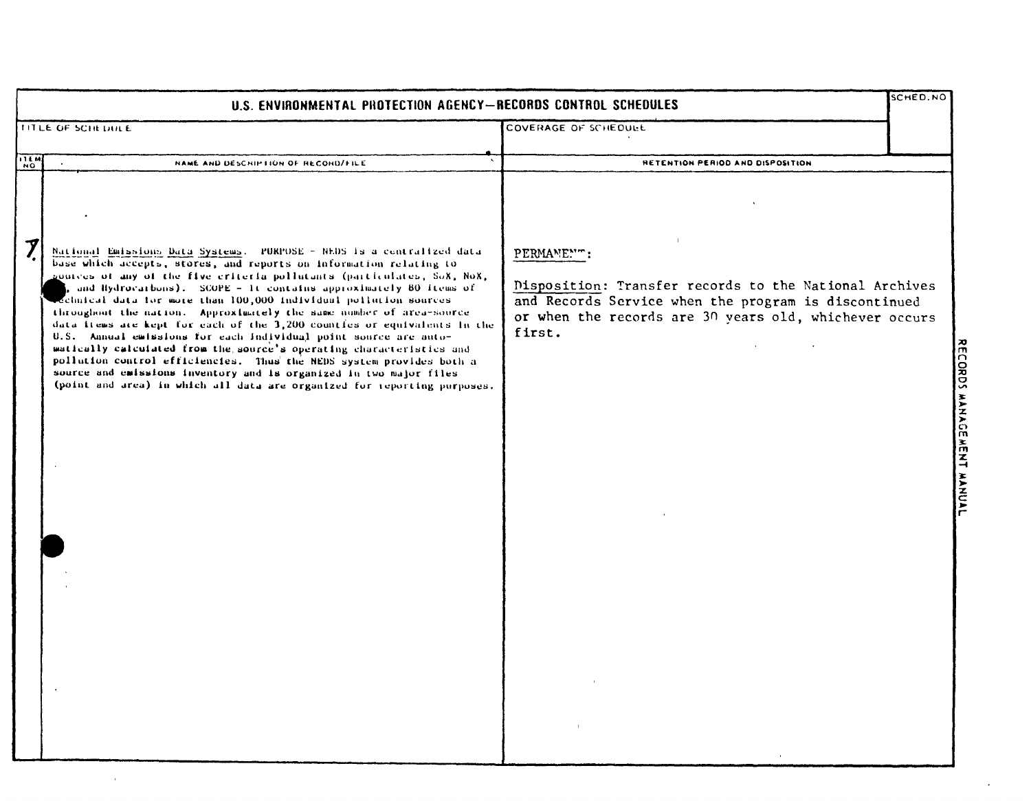| U.S. ENVIRONMENTAL PROTECTION AGENCY-RECORDS CONTROL SCHEDULES |                                                                                                                                                                                                                                                                                                                                                                                                                                                                                                                                                                                                                                                                                                                                                                                                                                                                                         |                                                                                                                                                                                                  | SCHED.NO |
|----------------------------------------------------------------|-----------------------------------------------------------------------------------------------------------------------------------------------------------------------------------------------------------------------------------------------------------------------------------------------------------------------------------------------------------------------------------------------------------------------------------------------------------------------------------------------------------------------------------------------------------------------------------------------------------------------------------------------------------------------------------------------------------------------------------------------------------------------------------------------------------------------------------------------------------------------------------------|--------------------------------------------------------------------------------------------------------------------------------------------------------------------------------------------------|----------|
|                                                                | TITLE OF SCHEDULE                                                                                                                                                                                                                                                                                                                                                                                                                                                                                                                                                                                                                                                                                                                                                                                                                                                                       | COVERAGE OF SCHEDULE                                                                                                                                                                             |          |
| <b>NO.</b>                                                     | NAME AND DESCRIPTION OF RECORD/FILE                                                                                                                                                                                                                                                                                                                                                                                                                                                                                                                                                                                                                                                                                                                                                                                                                                                     | RETENTION PERIOD AND DISPOSITION                                                                                                                                                                 |          |
| $\boldsymbol{\mathcal{I}}$                                     | National Emissions Data Systems. PURPOSE - NEDS is a centralized data<br>base which accepts, stores, and reports on information relating to<br>gources of any of the five criteria pollutants (particulates, SoX, NoX,<br>and Hydrocarbons). SCOPE - It contains approximately 80 items of<br>echnical data for more than 100,000 individual pollution sources<br>throughout the nation. Approximately the same number of area-source<br>data items are kept for each of the 3,200 countles or equivalents in the<br>U.S. Annual emissions for each individual point source are auto-<br>matically calculated from the source's operating characteristics and<br>pollution control efficiencies. Thus the NEDS system provides both a<br>source and emissions inventory and is organized in two major files<br>(point and area) in which all data are organized for reporting purposes. | PERMANENT:<br>Disposition: Transfer records to the National Archives<br>and Records Service when the program is discontinued<br>or when the records are 30 years old, whichever occurs<br>first. |          |

 $\hat{\boldsymbol{\cdot}$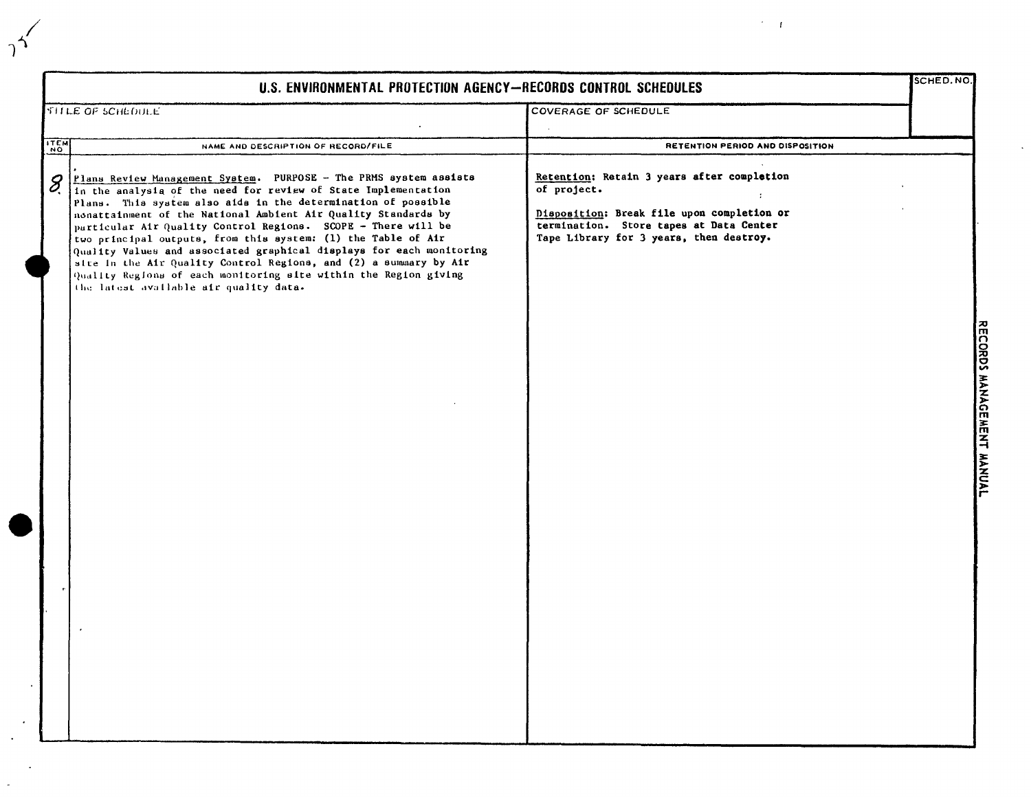| U.S. ENVIRONMENTAL PROTECTION AGENCY-RECORDS CONTROL SCHEDULES                                                                                                                                                                                                                                                                                                                                                                                                                                                                                                                                                                                                                          |                                                                                                                                                                                               |                           |  |
|-----------------------------------------------------------------------------------------------------------------------------------------------------------------------------------------------------------------------------------------------------------------------------------------------------------------------------------------------------------------------------------------------------------------------------------------------------------------------------------------------------------------------------------------------------------------------------------------------------------------------------------------------------------------------------------------|-----------------------------------------------------------------------------------------------------------------------------------------------------------------------------------------------|---------------------------|--|
| <b>SHLE OF SCHLOULE</b>                                                                                                                                                                                                                                                                                                                                                                                                                                                                                                                                                                                                                                                                 | COVERAGE OF SCHEDULE                                                                                                                                                                          |                           |  |
| NAME AND DESCRIPTION OF RECORD/FILE                                                                                                                                                                                                                                                                                                                                                                                                                                                                                                                                                                                                                                                     | RETENTION PERIOD AND DISPOSITION                                                                                                                                                              |                           |  |
| <b>ITEM</b><br>Plans Review Management System. PURPOSE - The PRMS system assists<br>8<br>In the analysia of the need for review of State Implementation<br>Plans. This system also aids in the determination of possible<br>nonattainment of the National Ambient Air Quality Standards by<br>particular Air Quality Control Regions. SCOPE - There will be<br>two principal outputs, from this system: (1) the Table of Air<br>Quality Values and associated graphical displays for each monitoring<br>site in the Air Quality Control Regions, and (2) a summary by Air<br>Quality Regions of each monitoring site within the Region giving<br>the latest available air quality data. | Retention: Retain 3 years after completion<br>of project.<br>Disposition: Break file upon completion or<br>termination. Store tapes at Data Center<br>Tape Library for 3 years, then destroy. | RECORDS MANAGEMENT MANUAL |  |

 $\gamma^2$ 

 $\hat{\gamma}=\hat{T}$ 

 $\hat{\mathcal{A}}$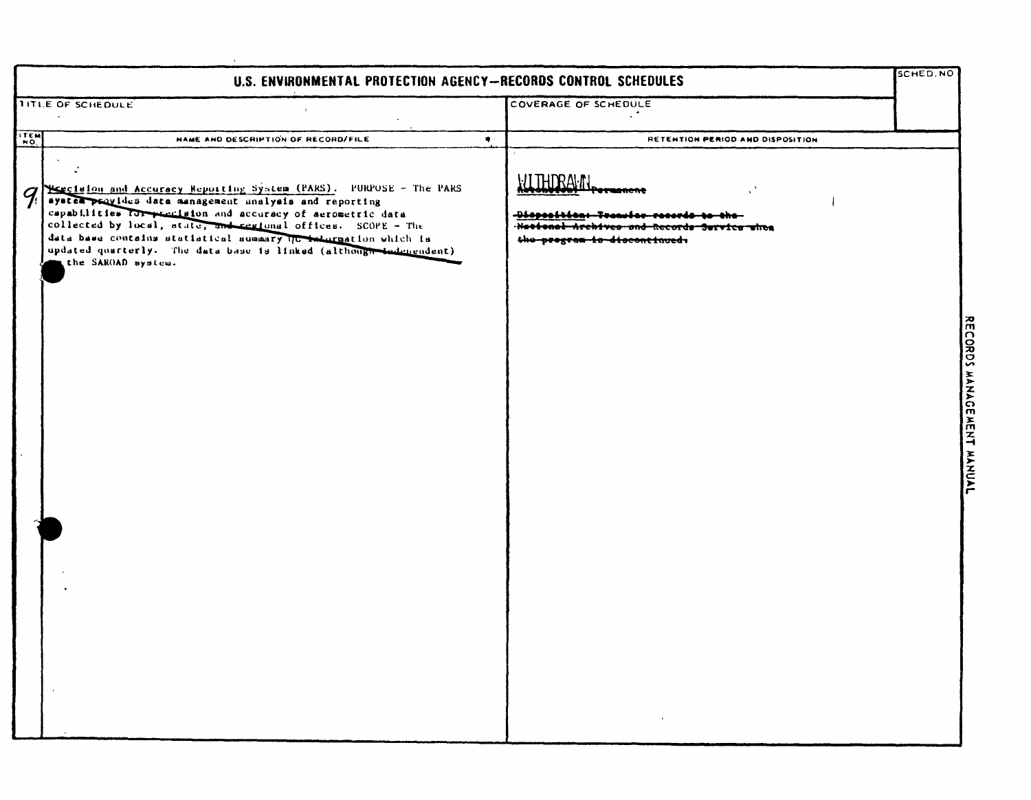| SCHED. NO |                                                                                                                                 |           | U.S. ENVIRONMENTAL PROTECTION AGENCY-RECORDS CONTROL SCHEDULES                                                                                                                                                                                                                                                                                                                                                          |                                           |
|-----------|---------------------------------------------------------------------------------------------------------------------------------|-----------|-------------------------------------------------------------------------------------------------------------------------------------------------------------------------------------------------------------------------------------------------------------------------------------------------------------------------------------------------------------------------------------------------------------------------|-------------------------------------------|
|           | COVERAGE OF SCHEDULE                                                                                                            |           | TITLE OF SCHEDULE                                                                                                                                                                                                                                                                                                                                                                                                       |                                           |
|           | RETENTION PERIOD AND DISPOSITION                                                                                                | $\bullet$ | <b>NAME AND DESCRIPTION OF RECORD/FILE</b>                                                                                                                                                                                                                                                                                                                                                                              | ITEM                                      |
|           | <b>WITHDRAWN</b><br>Diopoeltica: Transfer records<br>Nettenel Archives and Records Service when<br>the pregram is discontinued. |           | Hestelon and Accuracy Reporting System (PARS). PURPOSE - The PARS<br>system provides data management unalysis and reporting<br>capabilities for precision and accuracy of aerometric data<br>collected by local, state, and regional offices. SCOPE - The<br>data base contains statistical summary the information which is<br>updated quarterly. The data base is linked (although dedenendent)<br>the SAROAD system. | $\mathcal{G}_{\!\scriptscriptstyle\beta}$ |
|           |                                                                                                                                 |           |                                                                                                                                                                                                                                                                                                                                                                                                                         |                                           |
|           |                                                                                                                                 |           |                                                                                                                                                                                                                                                                                                                                                                                                                         |                                           |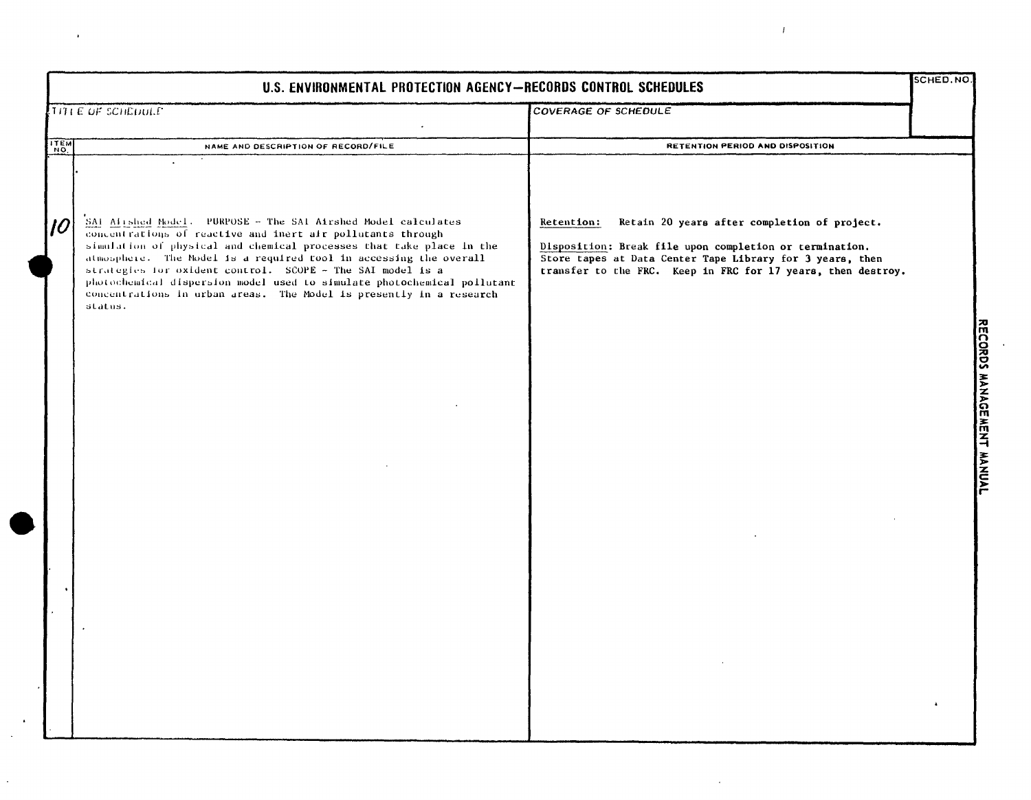| U.S. ENVIRONMENTAL PROTECTION AGENCY-RECORDS CONTROL SCHEDULES |                                                                                                                                                                                                                                                                                                                                                                                                                                                                                                      |                                                                                                                                                                                                                                                    |  |                           |
|----------------------------------------------------------------|------------------------------------------------------------------------------------------------------------------------------------------------------------------------------------------------------------------------------------------------------------------------------------------------------------------------------------------------------------------------------------------------------------------------------------------------------------------------------------------------------|----------------------------------------------------------------------------------------------------------------------------------------------------------------------------------------------------------------------------------------------------|--|---------------------------|
|                                                                | TITLE OF SCHEDULE                                                                                                                                                                                                                                                                                                                                                                                                                                                                                    | <b>COVERAGE OF SCHEDULE</b>                                                                                                                                                                                                                        |  |                           |
| <b>ITEM</b>                                                    | NAME AND DESCRIPTION OF RECORD/FILE                                                                                                                                                                                                                                                                                                                                                                                                                                                                  | RETENTION PERIOD AND DISPOSITION                                                                                                                                                                                                                   |  |                           |
| $\overline{10}$                                                | SAI Airshed Model. PURPOSE - The SAI Airshed Model calculates<br>concentrations of reactive and inert air pollutants through<br>simulation of physical and chemical processes that take place in the<br>atmosphere. The Nodel is a required tool in accessing the overall<br>strategies for oxident control. SCOPE - The SAI model is a<br>photochemical dispersion model used to simulate photochemical pollutant<br>concentrations in urban areas. The Model is presently in a research<br>status. | Retain 20 years after completion of project.<br>Retention:<br>Disposition: Break file upon completion or termination.<br>Store tapes at Data Center Tape Library for 3 years, then<br>transfer to the FRC. Keep in FRC for 17 years, then destroy. |  |                           |
|                                                                |                                                                                                                                                                                                                                                                                                                                                                                                                                                                                                      |                                                                                                                                                                                                                                                    |  | RECORDS MANAGEMENT MANUAL |
|                                                                |                                                                                                                                                                                                                                                                                                                                                                                                                                                                                                      |                                                                                                                                                                                                                                                    |  |                           |
|                                                                |                                                                                                                                                                                                                                                                                                                                                                                                                                                                                                      |                                                                                                                                                                                                                                                    |  |                           |
|                                                                |                                                                                                                                                                                                                                                                                                                                                                                                                                                                                                      |                                                                                                                                                                                                                                                    |  |                           |

 $\cdot$ 

 $\bar{T}$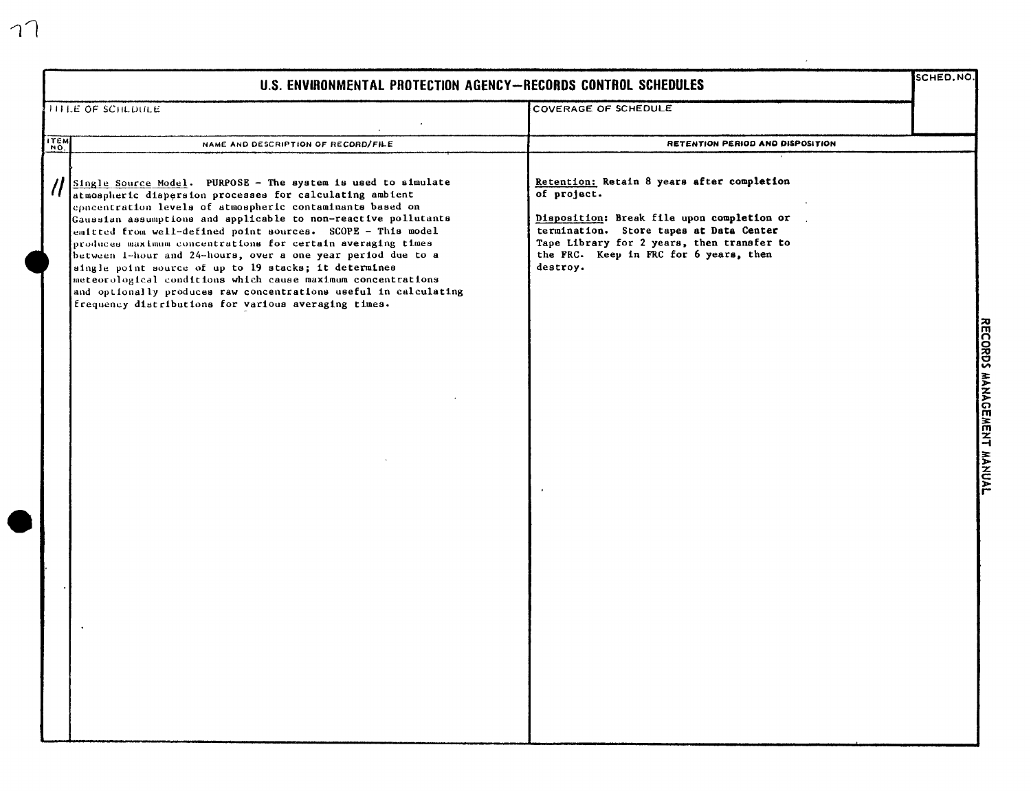| U.S. ENVIRONMENTAL PROTECTION AGENCY-RECORDS CONTROL SCHEDULES |                                                                                                                                                                                                                                                                                                                                                                                                                                                                                                                                                                                                                                                                                                             |                                                                                                                                                                                                                                                        |                                                                                             |
|----------------------------------------------------------------|-------------------------------------------------------------------------------------------------------------------------------------------------------------------------------------------------------------------------------------------------------------------------------------------------------------------------------------------------------------------------------------------------------------------------------------------------------------------------------------------------------------------------------------------------------------------------------------------------------------------------------------------------------------------------------------------------------------|--------------------------------------------------------------------------------------------------------------------------------------------------------------------------------------------------------------------------------------------------------|---------------------------------------------------------------------------------------------|
| <b>ITTLE OF SCHLDULE</b>                                       |                                                                                                                                                                                                                                                                                                                                                                                                                                                                                                                                                                                                                                                                                                             | COVERAGE OF SCHEDULE                                                                                                                                                                                                                                   |                                                                                             |
| ITEM                                                           | NAME AND DESCRIPTION OF RECORD/FILE                                                                                                                                                                                                                                                                                                                                                                                                                                                                                                                                                                                                                                                                         | RETENTION PERIOD AND DISPOSITION                                                                                                                                                                                                                       |                                                                                             |
|                                                                | Single Source Model. PURPOSE - The system is used to simulate<br>atmospheric dispersion processes for calculating ambient<br>epacentration levels of atmospheric contaminants based on<br>Gaussian assumptions and applicable to non-reactive pollutants<br>emitted from well-defined point sources. SCOPE - This model<br>produces maximum concentrations for certain averaging times<br>between 1-hour and 24-hours, over a one year period due to a<br>aingle point source of up to 19 stacks; it determines<br>meteorological conditions which cause maximum concentrations<br>and optionally produces raw concentrations useful in calculating<br>frequency distributions for various averaging times. | Retention: Retain 8 years after completion<br>of project.<br>Disposition: Break file upon completion or<br>termination. Store tapes at Data Center<br>Tape Library for 2 years, then transfer to<br>the FRC. Keep in FRC for 6 years, then<br>destroy. | $\overline{\widetilde{\mathsf{K}}\mathsf{D}}$<br>MANAUL<br>MEN <sub>I</sub><br><b>TVONW</b> |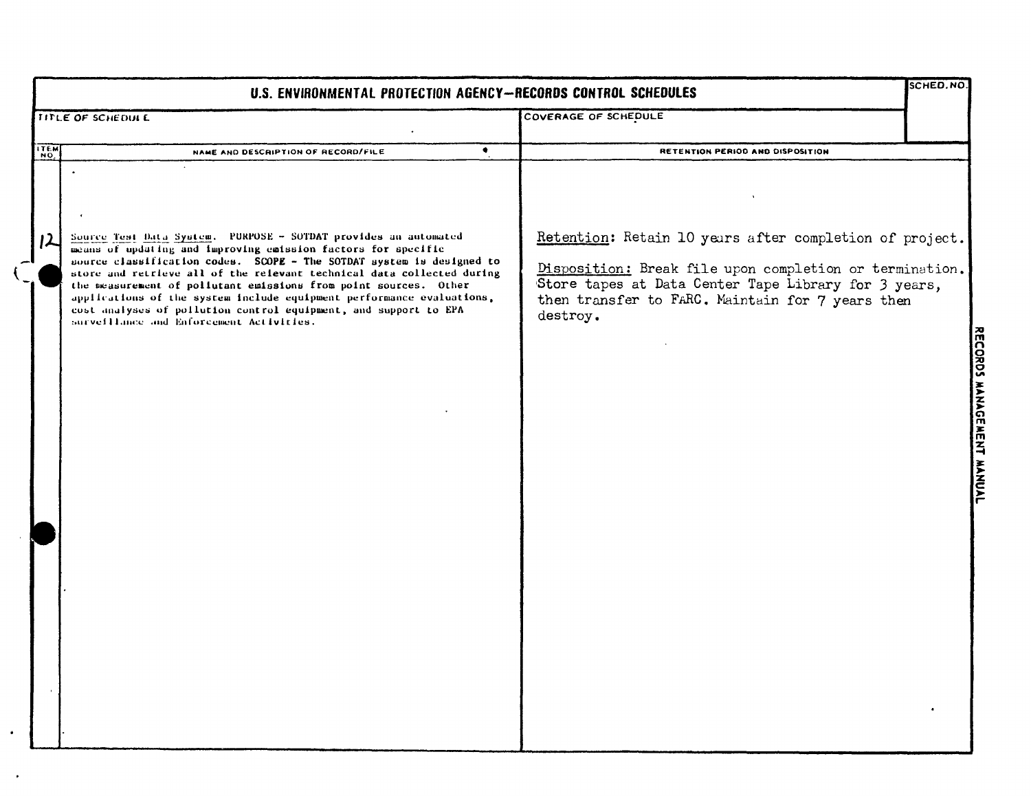|             | U.S. ENVIRONMENTAL PROTECTION AGENCY-RECORDS CONTROL SCHEDULES                                                                                                                                                                                                                                                                                                                                                                                                                                                                                   |                                                                                                                                                                                                                                            |                           |  |  |
|-------------|--------------------------------------------------------------------------------------------------------------------------------------------------------------------------------------------------------------------------------------------------------------------------------------------------------------------------------------------------------------------------------------------------------------------------------------------------------------------------------------------------------------------------------------------------|--------------------------------------------------------------------------------------------------------------------------------------------------------------------------------------------------------------------------------------------|---------------------------|--|--|
|             | TITLE OF SCHEDULE                                                                                                                                                                                                                                                                                                                                                                                                                                                                                                                                | COVERAGE OF SCHEDULE                                                                                                                                                                                                                       |                           |  |  |
| <b>ITEM</b> | $\bullet$<br>NAME AND DESCRIPTION OF RECORD/FILE                                                                                                                                                                                                                                                                                                                                                                                                                                                                                                 | RETENTION PERIOD AND DISPOSITION                                                                                                                                                                                                           |                           |  |  |
|             | Source Test Data System. PURPOSE - SOTDAT provides an automated<br>means of updating and improving emission factors for specific<br>source classification codes. SCOPE - The SOTDAT system is designed to<br>store and retrieve all of the relevant technical data collected during<br>the measurement of pollutant emissions from point sources. Other<br>applications of the system include equipment performance evaluations,<br>cost analyses of pollution control equipment, and support to EPA<br>surveillance and Enforcement Activities. | Retention: Retain 10 years after completion of project.<br>Disposition: Break file upon completion or termination.<br>Store tapes at Data Center Tape Library for 3 years,<br>then transfer to FARC. Maintain for 7 years then<br>destroy. |                           |  |  |
|             |                                                                                                                                                                                                                                                                                                                                                                                                                                                                                                                                                  |                                                                                                                                                                                                                                            | RECORDS MANAGEMENT MANUAL |  |  |
|             |                                                                                                                                                                                                                                                                                                                                                                                                                                                                                                                                                  |                                                                                                                                                                                                                                            |                           |  |  |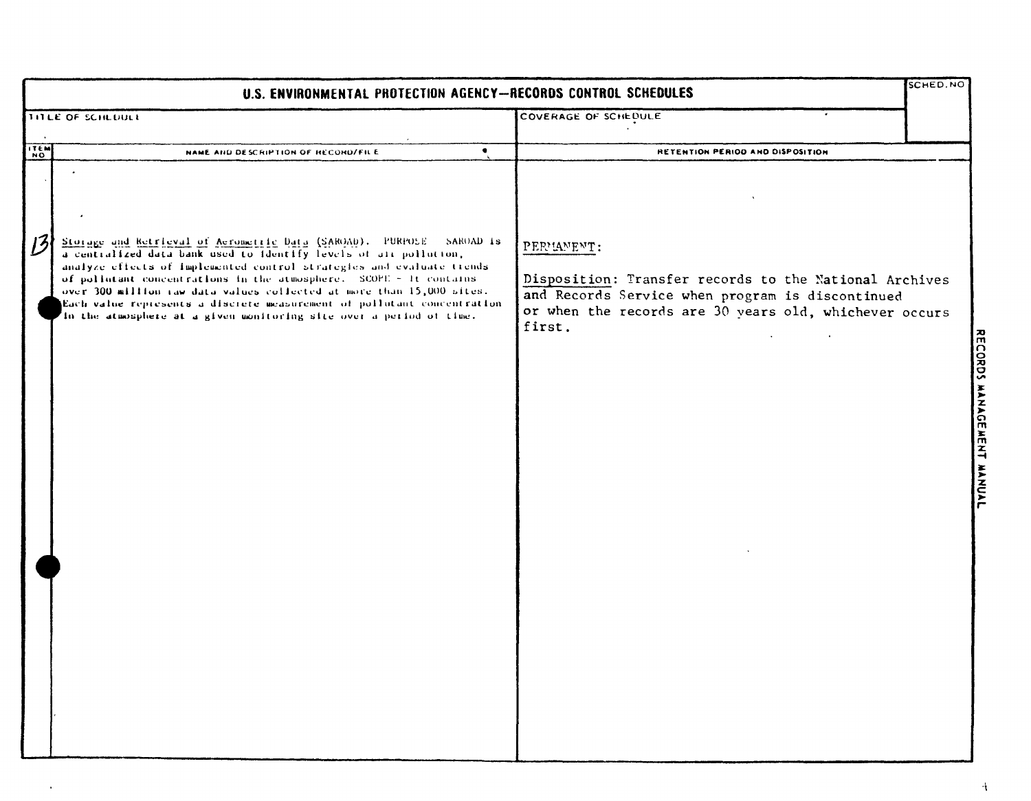|               | SCHED.NO<br>U.S. ENVIRONMENTAL PROTECTION AGENCY-RECORDS CONTROL SCHEDULES                                                                                                                                                                                                                                                                                                                                                                                                                                               |                                                                                                                                                                                              |  |  |  |  |  |
|---------------|--------------------------------------------------------------------------------------------------------------------------------------------------------------------------------------------------------------------------------------------------------------------------------------------------------------------------------------------------------------------------------------------------------------------------------------------------------------------------------------------------------------------------|----------------------------------------------------------------------------------------------------------------------------------------------------------------------------------------------|--|--|--|--|--|
|               | TITLE OF SCHEDULE                                                                                                                                                                                                                                                                                                                                                                                                                                                                                                        | COVERAGE OF SCHEDULE                                                                                                                                                                         |  |  |  |  |  |
| <b>ITEM</b>   | $\bullet$<br>NAME AND DESCRIPTION OF RECORD/FILE                                                                                                                                                                                                                                                                                                                                                                                                                                                                         | RETENTION PERIOD AND DISPOSITION                                                                                                                                                             |  |  |  |  |  |
| $\mathcal{B}$ | Storage and Retrieval of Aerometric Data (SAROAD). PURPOSE - SAROAD is<br>a centralized data bank used to identify levels of air pollution,<br>analyze effects of implemented control strategies and evaluate trends.<br>of politutant concentrations in the atmosphere. SCOPE - It contains<br>over 300 million raw data values collected at more than 15,000 sites.<br>(Each value represents a discrete measurement of pollutant concentration<br>In the atmosphere at a given monitoring site over a period of time. | PERMANENT:<br>Disposition: Transfer records to the National Archives<br>and Records Service when program is discontinued<br>or when the records are 30 years old, whichever occurs<br>first. |  |  |  |  |  |
|               |                                                                                                                                                                                                                                                                                                                                                                                                                                                                                                                          |                                                                                                                                                                                              |  |  |  |  |  |

 $\bullet$ 

RECORDS MANAGEMENT MANUAL